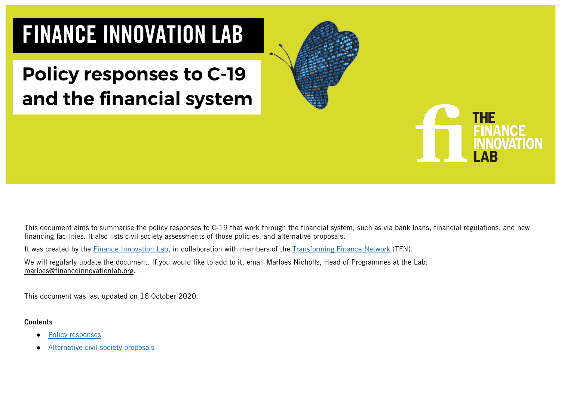# FINANCE INNOVATION LAB

## **Policy responses to C-19 and the financial system**



This document aims to summarise the policy responses to C-19 that work through the financial system, such as via bank loans, financial regulations, and new financing facilities. It also lists civil society assessments of those policies, and alternative proposals.

It was created by the **Finance Innovation Lab**, in collaboration with members of the **Transforming Finance Network** (TFN).

We will regularly update the document. If you would like to add to it, email Marloes Nicholls, Head of Programmes at the Lab: marloes@financeinnovationlab.org.

This document was last updated on 16 October 2020.

#### **Contents**

- [Policy responses](#page-1-0)
- [Alternative civil society proposals](#page-10-0)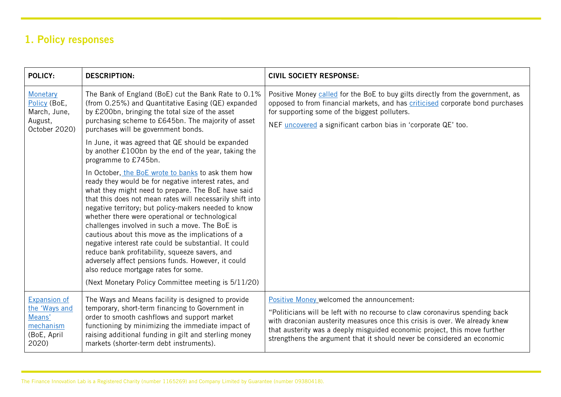## <span id="page-1-0"></span>1. Policy responses

| POLICY:                                                                      | <b>DESCRIPTION:</b>                                                                                                                                                                                                                                                                                                                                                                                                                                                                                                                                                                                                                                                                                             | <b>CIVIL SOCIETY RESPONSE:</b>                                                                                                                                                                                                                                                                                                                                   |
|------------------------------------------------------------------------------|-----------------------------------------------------------------------------------------------------------------------------------------------------------------------------------------------------------------------------------------------------------------------------------------------------------------------------------------------------------------------------------------------------------------------------------------------------------------------------------------------------------------------------------------------------------------------------------------------------------------------------------------------------------------------------------------------------------------|------------------------------------------------------------------------------------------------------------------------------------------------------------------------------------------------------------------------------------------------------------------------------------------------------------------------------------------------------------------|
| <b>Monetary</b><br>Policy (BoE,<br>March, June,<br>August,<br>October 2020)  | The Bank of England (BoE) cut the Bank Rate to 0.1%<br>(from 0.25%) and Quantitative Easing (QE) expanded<br>by £200bn, bringing the total size of the asset<br>purchasing scheme to £645bn. The majority of asset<br>purchases will be government bonds.                                                                                                                                                                                                                                                                                                                                                                                                                                                       | Positive Money called for the BoE to buy gilts directly from the government, as<br>opposed to from financial markets, and has criticised corporate bond purchases<br>for supporting some of the biggest polluters.<br>NEF <i>uncovered</i> a significant carbon bias in 'corporate QE' too.                                                                      |
|                                                                              | In June, it was agreed that QE should be expanded<br>by another £100bn by the end of the year, taking the<br>programme to £745bn.                                                                                                                                                                                                                                                                                                                                                                                                                                                                                                                                                                               |                                                                                                                                                                                                                                                                                                                                                                  |
|                                                                              | In October, the BoE wrote to banks to ask them how<br>ready they would be for negative interest rates, and<br>what they might need to prepare. The BoE have said<br>that this does not mean rates will necessarily shift into<br>negative territory; but policy-makers needed to know<br>whether there were operational or technological<br>challenges involved in such a move. The BoE is<br>cautious about this move as the implications of a<br>negative interest rate could be substantial. It could<br>reduce bank profitability, squeeze savers, and<br>adversely affect pensions funds. However, it could<br>also reduce mortgage rates for some.<br>(Next Monetary Policy Committee meeting is 5/11/20) |                                                                                                                                                                                                                                                                                                                                                                  |
| Expansion of<br>the 'Ways and<br>Means'<br>mechanism<br>(BoE, April<br>2020) | The Ways and Means facility is designed to provide<br>temporary, short-term financing to Government in<br>order to smooth cashflows and support market<br>functioning by minimizing the immediate impact of<br>raising additional funding in gilt and sterling money<br>markets (shorter-term debt instruments).                                                                                                                                                                                                                                                                                                                                                                                                | Positive Money welcomed the announcement:<br>"Politicians will be left with no recourse to claw coronavirus spending back<br>with draconian austerity measures once this crisis is over. We already knew<br>that austerity was a deeply misguided economic project, this move further<br>strengthens the argument that it should never be considered an economic |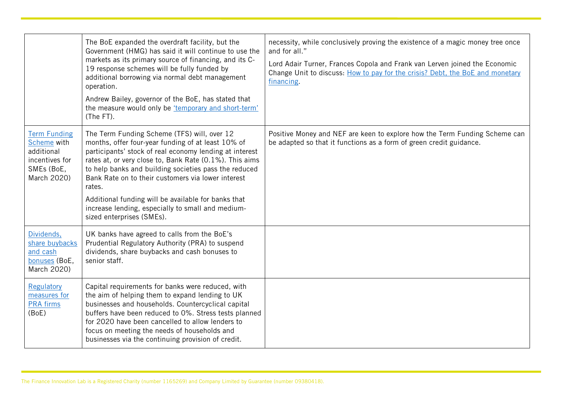|                                                                                                 | The BoE expanded the overdraft facility, but the<br>Government (HMG) has said it will continue to use the<br>markets as its primary source of financing, and its C-<br>19 response schemes will be fully funded by<br>additional borrowing via normal debt management<br>operation.<br>Andrew Bailey, governor of the BoE, has stated that<br>the measure would only be 'temporary and short-term'<br>(The FT).                                                                           | necessity, while conclusively proving the existence of a magic money tree once<br>and for all."<br>Lord Adair Turner, Frances Copola and Frank van Lerven joined the Economic<br>Change Unit to discuss: How to pay for the crisis? Debt, the BoE and monetary<br>financing. |
|-------------------------------------------------------------------------------------------------|-------------------------------------------------------------------------------------------------------------------------------------------------------------------------------------------------------------------------------------------------------------------------------------------------------------------------------------------------------------------------------------------------------------------------------------------------------------------------------------------|------------------------------------------------------------------------------------------------------------------------------------------------------------------------------------------------------------------------------------------------------------------------------|
| <b>Term Funding</b><br>Scheme with<br>additional<br>incentives for<br>SMEs (BoE,<br>March 2020) | The Term Funding Scheme (TFS) will, over 12<br>months, offer four-year funding of at least 10% of<br>participants' stock of real economy lending at interest<br>rates at, or very close to, Bank Rate (0.1%). This aims<br>to help banks and building societies pass the reduced<br>Bank Rate on to their customers via lower interest<br>rates.<br>Additional funding will be available for banks that<br>increase lending, especially to small and medium-<br>sized enterprises (SMEs). | Positive Money and NEF are keen to explore how the Term Funding Scheme can<br>be adapted so that it functions as a form of green credit guidance.                                                                                                                            |
| Dividends,<br>share buybacks<br>and cash<br>bonuses (BoE,<br>March 2020)                        | UK banks have agreed to calls from the BoE's<br>Prudential Regulatory Authority (PRA) to suspend<br>dividends, share buybacks and cash bonuses to<br>senior staff.                                                                                                                                                                                                                                                                                                                        |                                                                                                                                                                                                                                                                              |
| Regulatory<br>measures for<br><b>PRA</b> firms<br>(BoE)                                         | Capital requirements for banks were reduced, with<br>the aim of helping them to expand lending to UK<br>businesses and households. Countercyclical capital<br>buffers have been reduced to 0%. Stress tests planned<br>for 2020 have been cancelled to allow lenders to<br>focus on meeting the needs of households and<br>businesses via the continuing provision of credit.                                                                                                             |                                                                                                                                                                                                                                                                              |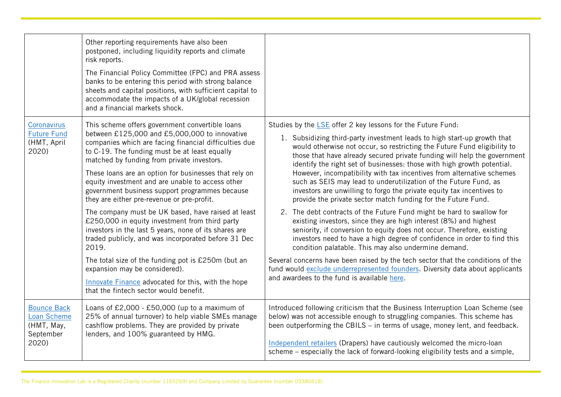|                                                              | Other reporting requirements have also been<br>postponed, including liquidity reports and climate<br>risk reports.<br>The Financial Policy Committee (FPC) and PRA assess<br>banks to be entering this period with strong balance<br>sheets and capital positions, with sufficient capital to<br>accommodate the impacts of a UK/global recession<br>and a financial markets shock. |                                                                                                                                                                                                                                                                                                                                                                                                                                                     |
|--------------------------------------------------------------|-------------------------------------------------------------------------------------------------------------------------------------------------------------------------------------------------------------------------------------------------------------------------------------------------------------------------------------------------------------------------------------|-----------------------------------------------------------------------------------------------------------------------------------------------------------------------------------------------------------------------------------------------------------------------------------------------------------------------------------------------------------------------------------------------------------------------------------------------------|
| Coronavirus<br><b>Future Fund</b><br>(HMT, April<br>2020)    | This scheme offers government convertible loans<br>between £125,000 and £5,000,000 to innovative<br>companies which are facing financial difficulties due<br>to C-19. The funding must be at least equally<br>matched by funding from private investors.<br>These loans are an option for businesses that rely on                                                                   | Studies by the LSE offer 2 key lessons for the Future Fund:<br>1. Subsidizing third-party investment leads to high start-up growth that<br>would otherwise not occur, so restricting the Future Fund eligibility to<br>those that have already secured private funding will help the government<br>identify the right set of businesses: those with high growth potential.<br>However, incompatibility with tax incentives from alternative schemes |
|                                                              | equity investment and are unable to access other<br>government business support programmes because<br>they are either pre-revenue or pre-profit.                                                                                                                                                                                                                                    | such as SEIS may lead to underutilization of the Future Fund, as<br>investors are unwilling to forgo the private equity tax incentives to<br>provide the private sector match funding for the Future Fund.                                                                                                                                                                                                                                          |
|                                                              | The company must be UK based, have raised at least<br>£250,000 in equity investment from third party<br>investors in the last 5 years, none of its shares are<br>traded publicly, and was incorporated before 31 Dec<br>2019.                                                                                                                                                       | 2. The debt contracts of the Future Fund might be hard to swallow for<br>existing investors, since they are high interest (8%) and highest<br>seniority, if conversion to equity does not occur. Therefore, existing<br>investors need to have a high degree of confidence in order to find this<br>condition palatable. This may also undermine demand.                                                                                            |
|                                                              | The total size of the funding pot is £250m (but an<br>expansion may be considered).                                                                                                                                                                                                                                                                                                 | Several concerns have been raised by the tech sector that the conditions of the<br>fund would exclude underrepresented founders. Diversity data about applicants                                                                                                                                                                                                                                                                                    |
|                                                              | Innovate Finance advocated for this, with the hope<br>that the fintech sector would benefit.                                                                                                                                                                                                                                                                                        | and awardees to the fund is available here.                                                                                                                                                                                                                                                                                                                                                                                                         |
| <b>Bounce Back</b><br>Loan Scheme<br>(HMT, May,<br>September | Loans of $£2,000 - £50,000$ (up to a maximum of<br>25% of annual turnover) to help viable SMEs manage<br>cashflow problems. They are provided by private<br>lenders, and 100% guaranteed by HMG.                                                                                                                                                                                    | Introduced following criticism that the Business Interruption Loan Scheme (see<br>below) was not accessible enough to struggling companies. This scheme has<br>been outperforming the CBILS - in terms of usage, money lent, and feedback.                                                                                                                                                                                                          |
| 2020)                                                        |                                                                                                                                                                                                                                                                                                                                                                                     | Independent retailers (Drapers) have cautiously welcomed the micro-loan<br>scheme – especially the lack of forward-looking eligibility tests and a simple,                                                                                                                                                                                                                                                                                          |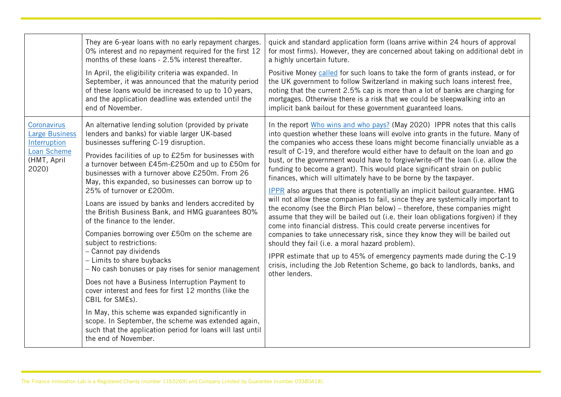|                                                                                             | They are 6-year loans with no early repayment charges.<br>0% interest and no repayment required for the first 12<br>months of these loans - 2.5% interest thereafter.                                                                                                                                                                                                                                                                                                                                                                                                                                                                                                                                                                                                                                                                                                                                                                                                                                                                                                           | quick and standard application form (loans arrive within 24 hours of approval<br>for most firms). However, they are concerned about taking on additional debt in<br>a highly uncertain future.                                                                                                                                                                                                                                                                                                                                                                                                                                                                                                                                                                                                                                                                                                                                                                                                                                                                                                                                                                                                                                                                                                                |
|---------------------------------------------------------------------------------------------|---------------------------------------------------------------------------------------------------------------------------------------------------------------------------------------------------------------------------------------------------------------------------------------------------------------------------------------------------------------------------------------------------------------------------------------------------------------------------------------------------------------------------------------------------------------------------------------------------------------------------------------------------------------------------------------------------------------------------------------------------------------------------------------------------------------------------------------------------------------------------------------------------------------------------------------------------------------------------------------------------------------------------------------------------------------------------------|---------------------------------------------------------------------------------------------------------------------------------------------------------------------------------------------------------------------------------------------------------------------------------------------------------------------------------------------------------------------------------------------------------------------------------------------------------------------------------------------------------------------------------------------------------------------------------------------------------------------------------------------------------------------------------------------------------------------------------------------------------------------------------------------------------------------------------------------------------------------------------------------------------------------------------------------------------------------------------------------------------------------------------------------------------------------------------------------------------------------------------------------------------------------------------------------------------------------------------------------------------------------------------------------------------------|
|                                                                                             | In April, the eligibility criteria was expanded. In<br>September, it was announced that the maturity period<br>of these loans would be increased to up to 10 years,<br>and the application deadline was extended until the<br>end of November.                                                                                                                                                                                                                                                                                                                                                                                                                                                                                                                                                                                                                                                                                                                                                                                                                                  | Positive Money called for such loans to take the form of grants instead, or for<br>the UK government to follow Switzerland in making such loans interest free,<br>noting that the current 2.5% cap is more than a lot of banks are charging for<br>mortgages. Otherwise there is a risk that we could be sleepwalking into an<br>implicit bank bailout for these government guaranteed loans.                                                                                                                                                                                                                                                                                                                                                                                                                                                                                                                                                                                                                                                                                                                                                                                                                                                                                                                 |
| Coronavirus<br><b>Large Business</b><br>Interruption<br>Loan Scheme<br>(HMT, April<br>2020) | An alternative lending solution (provided by private<br>lenders and banks) for viable larger UK-based<br>businesses suffering C-19 disruption.<br>Provides facilities of up to £25m for businesses with<br>a turnover between £45m-£250m and up to £50m for<br>businesses with a turnover above £250m. From 26<br>May, this expanded, so businesses can borrow up to<br>25% of turnover or £200m.<br>Loans are issued by banks and lenders accredited by<br>the British Business Bank, and HMG guarantees 80%<br>of the finance to the lender.<br>Companies borrowing over £50m on the scheme are<br>subject to restrictions:<br>- Cannot pay dividends<br>- Limits to share buybacks<br>- No cash bonuses or pay rises for senior management<br>Does not have a Business Interruption Payment to<br>cover interest and fees for first 12 months (like the<br>CBIL for SMEs).<br>In May, this scheme was expanded significantly in<br>scope. In September, the scheme was extended again,<br>such that the application period for loans will last until<br>the end of November. | In the report Who wins and who pays? (May 2020) IPPR notes that this calls<br>into question whether these loans will evolve into grants in the future. Many of<br>the companies who access these loans might become financially unviable as a<br>result of C-19, and therefore would either have to default on the loan and go<br>bust, or the government would have to forgive/write-off the loan (i.e. allow the<br>funding to become a grant). This would place significant strain on public<br>finances, which will ultimately have to be borne by the taxpayer.<br><b>IPPR</b> also argues that there is potentially an implicit bailout guarantee. HMG<br>will not allow these companies to fail, since they are systemically important to<br>the economy (see the Birch Plan below) - therefore, these companies might<br>assume that they will be bailed out (i.e. their loan obligations forgiven) if they<br>come into financial distress. This could create perverse incentives for<br>companies to take unnecessary risk, since they know they will be bailed out<br>should they fail (i.e. a moral hazard problem).<br>IPPR estimate that up to 45% of emergency payments made during the C-19<br>crisis, including the Job Retention Scheme, go back to landlords, banks, and<br>other lenders. |
|                                                                                             |                                                                                                                                                                                                                                                                                                                                                                                                                                                                                                                                                                                                                                                                                                                                                                                                                                                                                                                                                                                                                                                                                 |                                                                                                                                                                                                                                                                                                                                                                                                                                                                                                                                                                                                                                                                                                                                                                                                                                                                                                                                                                                                                                                                                                                                                                                                                                                                                                               |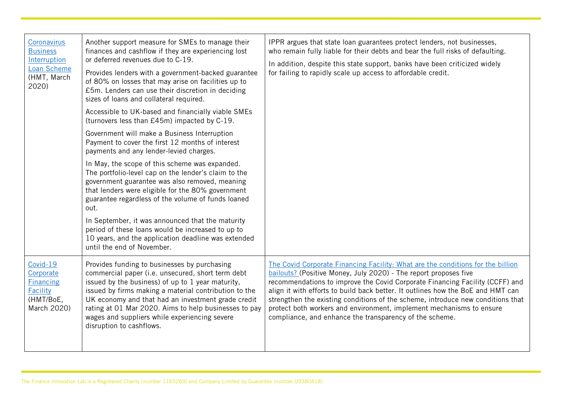| Coronavirus<br><b>Business</b><br>Interruption<br>Loan Scheme<br>(HMT, March | Another support measure for SMEs to manage their<br>finances and cashflow if they are experiencing lost<br>or deferred revenues due to C-19.<br>Provides lenders with a government-backed guarantee<br>of 80% on losses that may arise on facilities up to                                                                                                                                                  | IPPR argues that state loan guarantees protect lenders, not businesses,<br>who remain fully liable for their debts and bear the full risks of defaulting.<br>In addition, despite this state support, banks have been criticized widely<br>for failing to rapidly scale up access to affordable credit.                                                                                                                                                                                                                                      |
|------------------------------------------------------------------------------|-------------------------------------------------------------------------------------------------------------------------------------------------------------------------------------------------------------------------------------------------------------------------------------------------------------------------------------------------------------------------------------------------------------|----------------------------------------------------------------------------------------------------------------------------------------------------------------------------------------------------------------------------------------------------------------------------------------------------------------------------------------------------------------------------------------------------------------------------------------------------------------------------------------------------------------------------------------------|
| 2020)                                                                        | £5m. Lenders can use their discretion in deciding<br>sizes of loans and collateral required.                                                                                                                                                                                                                                                                                                                |                                                                                                                                                                                                                                                                                                                                                                                                                                                                                                                                              |
|                                                                              | Accessible to UK-based and financially viable SMEs<br>(turnovers less than £45m) impacted by C-19.                                                                                                                                                                                                                                                                                                          |                                                                                                                                                                                                                                                                                                                                                                                                                                                                                                                                              |
|                                                                              | Government will make a Business Interruption<br>Payment to cover the first 12 months of interest<br>payments and any lender-levied charges.                                                                                                                                                                                                                                                                 |                                                                                                                                                                                                                                                                                                                                                                                                                                                                                                                                              |
|                                                                              | In May, the scope of this scheme was expanded.<br>The portfolio-level cap on the lender's claim to the<br>government guarantee was also removed, meaning<br>that lenders were eligible for the 80% government<br>guarantee regardless of the volume of funds loaned<br>out.                                                                                                                                 |                                                                                                                                                                                                                                                                                                                                                                                                                                                                                                                                              |
|                                                                              | In September, it was announced that the maturity<br>period of these loans would be increased to up to<br>10 years, and the application deadline was extended<br>until the end of November.                                                                                                                                                                                                                  |                                                                                                                                                                                                                                                                                                                                                                                                                                                                                                                                              |
| Covid-19<br>Corporate<br>Financing<br>Facility<br>(HMT/BoE,<br>March 2020)   | Provides funding to businesses by purchasing<br>commercial paper (i.e. unsecured, short term debt<br>issued by the business) of up to 1 year maturity,<br>issued by firms making a material contribution to the<br>UK economy and that had an investment grade credit<br>rating at 01 Mar 2020. Aims to help businesses to pay<br>wages and suppliers while experiencing severe<br>disruption to cashflows. | The Covid Corporate Financing Facility: What are the conditions for the billion<br>bailouts? (Positive Money, July 2020) - The report proposes five<br>recommendations to improve the Covid Corporate Financing Facility (CCFF) and<br>align it with efforts to build back better. It outlines how the BoE and HMT can<br>strengthen the existing conditions of the scheme, introduce new conditions that<br>protect both workers and environment, implement mechanisms to ensure<br>compliance, and enhance the transparency of the scheme. |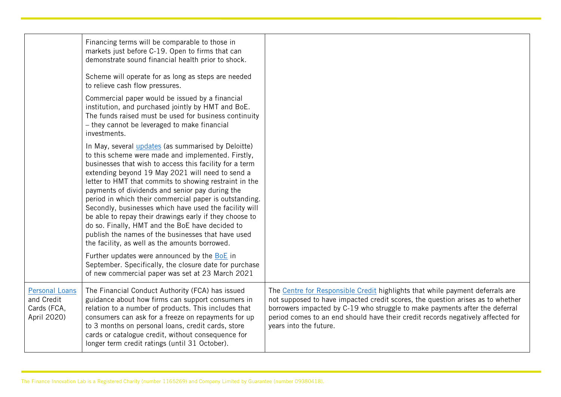|                                                                   | Financing terms will be comparable to those in<br>markets just before C-19. Open to firms that can<br>demonstrate sound financial health prior to shock.<br>Scheme will operate for as long as steps are needed<br>to relieve cash flow pressures.<br>Commercial paper would be issued by a financial<br>institution, and purchased jointly by HMT and BoE.<br>The funds raised must be used for business continuity<br>- they cannot be leveraged to make financial<br>investments.<br>In May, several <i>updates</i> (as summarised by Deloitte)<br>to this scheme were made and implemented. Firstly,                                                                                                                         |                                                                                                                                                                                                                                                                                                                                                             |
|-------------------------------------------------------------------|----------------------------------------------------------------------------------------------------------------------------------------------------------------------------------------------------------------------------------------------------------------------------------------------------------------------------------------------------------------------------------------------------------------------------------------------------------------------------------------------------------------------------------------------------------------------------------------------------------------------------------------------------------------------------------------------------------------------------------|-------------------------------------------------------------------------------------------------------------------------------------------------------------------------------------------------------------------------------------------------------------------------------------------------------------------------------------------------------------|
|                                                                   | businesses that wish to access this facility for a term<br>extending beyond 19 May 2021 will need to send a<br>letter to HMT that commits to showing restraint in the<br>payments of dividends and senior pay during the<br>period in which their commercial paper is outstanding.<br>Secondly, businesses which have used the facility will<br>be able to repay their drawings early if they choose to<br>do so. Finally, HMT and the BoE have decided to<br>publish the names of the businesses that have used<br>the facility, as well as the amounts borrowed.<br>Further updates were announced by the BoE in<br>September. Specifically, the closure date for purchase<br>of new commercial paper was set at 23 March 2021 |                                                                                                                                                                                                                                                                                                                                                             |
| <b>Personal Loans</b><br>and Credit<br>Cards (FCA,<br>April 2020) | The Financial Conduct Authority (FCA) has issued<br>guidance about how firms can support consumers in<br>relation to a number of products. This includes that<br>consumers can ask for a freeze on repayments for up<br>to 3 months on personal loans, credit cards, store<br>cards or catalogue credit, without consequence for<br>longer term credit ratings (until 31 October).                                                                                                                                                                                                                                                                                                                                               | The Centre for Responsible Credit highlights that while payment deferrals are<br>not supposed to have impacted credit scores, the question arises as to whether<br>borrowers impacted by C-19 who struggle to make payments after the deferral<br>period comes to an end should have their credit records negatively affected for<br>years into the future. |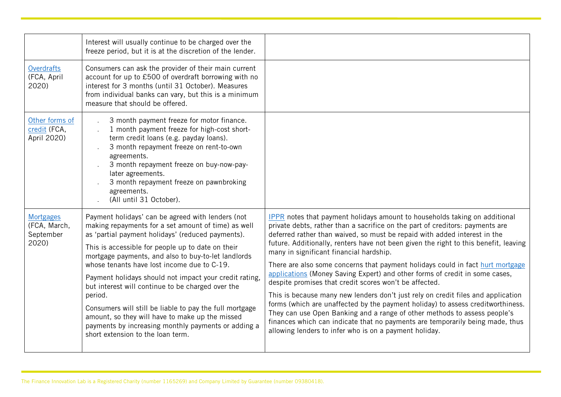|                                                        | Interest will usually continue to be charged over the<br>freeze period, but it is at the discretion of the lender.                                                                                                                                                                                                                                                                                                                                                                                                                                                                                                                                           |                                                                                                                                                                                                                                                                                                                                                                                                                                                                                                                                                                                                                                                                                                                                                                                                                                                                                                                                                                                                              |
|--------------------------------------------------------|--------------------------------------------------------------------------------------------------------------------------------------------------------------------------------------------------------------------------------------------------------------------------------------------------------------------------------------------------------------------------------------------------------------------------------------------------------------------------------------------------------------------------------------------------------------------------------------------------------------------------------------------------------------|--------------------------------------------------------------------------------------------------------------------------------------------------------------------------------------------------------------------------------------------------------------------------------------------------------------------------------------------------------------------------------------------------------------------------------------------------------------------------------------------------------------------------------------------------------------------------------------------------------------------------------------------------------------------------------------------------------------------------------------------------------------------------------------------------------------------------------------------------------------------------------------------------------------------------------------------------------------------------------------------------------------|
| <b>Overdrafts</b><br>(FCA, April<br>2020)              | Consumers can ask the provider of their main current<br>account for up to £500 of overdraft borrowing with no<br>interest for 3 months (until 31 October). Measures<br>from individual banks can vary, but this is a minimum<br>measure that should be offered.                                                                                                                                                                                                                                                                                                                                                                                              |                                                                                                                                                                                                                                                                                                                                                                                                                                                                                                                                                                                                                                                                                                                                                                                                                                                                                                                                                                                                              |
| Other forms of<br>credit (FCA,<br>April 2020)          | 3 month payment freeze for motor finance.<br>1 month payment freeze for high-cost short-<br>term credit loans (e.g. payday loans).<br>3 month repayment freeze on rent-to-own<br>agreements.<br>3 month repayment freeze on buy-now-pay-<br>later agreements.<br>3 month repayment freeze on pawnbroking<br>agreements.<br>(All until 31 October).                                                                                                                                                                                                                                                                                                           |                                                                                                                                                                                                                                                                                                                                                                                                                                                                                                                                                                                                                                                                                                                                                                                                                                                                                                                                                                                                              |
| <b>Mortgages</b><br>(FCA, March,<br>September<br>2020) | Payment holidays' can be agreed with lenders (not<br>making repayments for a set amount of time) as well<br>as 'partial payment holidays' (reduced payments).<br>This is accessible for people up to date on their<br>mortgage payments, and also to buy-to-let landlords<br>whose tenants have lost income due to C-19.<br>Payment holidays should not impact your credit rating,<br>but interest will continue to be charged over the<br>period.<br>Consumers will still be liable to pay the full mortgage<br>amount, so they will have to make up the missed<br>payments by increasing monthly payments or adding a<br>short extension to the loan term. | <b>IPPR</b> notes that payment holidays amount to households taking on additional<br>private debts, rather than a sacrifice on the part of creditors: payments are<br>deferred rather than waived, so must be repaid with added interest in the<br>future. Additionally, renters have not been given the right to this benefit, leaving<br>many in significant financial hardship.<br>There are also some concerns that payment holidays could in fact hurt mortgage<br>applications (Money Saving Expert) and other forms of credit in some cases,<br>despite promises that credit scores won't be affected.<br>This is because many new lenders don't just rely on credit files and application<br>forms (which are unaffected by the payment holiday) to assess creditworthiness.<br>They can use Open Banking and a range of other methods to assess people's<br>finances which can indicate that no payments are temporarily being made, thus<br>allowing lenders to infer who is on a payment holiday. |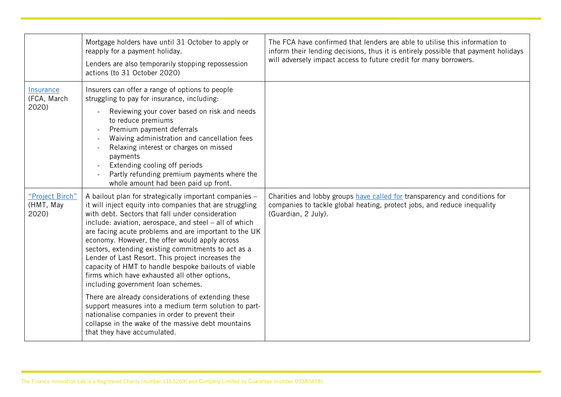|                                       | Mortgage holders have until 31 October to apply or<br>reapply for a payment holiday.<br>Lenders are also temporarily stopping repossession<br>actions (to 31 October 2020)                                                                                                                                                                                                                                                                                                                                                                                                                                                                                                                                                                                                                                                                                     | The FCA have confirmed that lenders are able to utilise this information to<br>inform their lending decisions, thus it is entirely possible that payment holidays<br>will adversely impact access to future credit for many borrowers. |
|---------------------------------------|----------------------------------------------------------------------------------------------------------------------------------------------------------------------------------------------------------------------------------------------------------------------------------------------------------------------------------------------------------------------------------------------------------------------------------------------------------------------------------------------------------------------------------------------------------------------------------------------------------------------------------------------------------------------------------------------------------------------------------------------------------------------------------------------------------------------------------------------------------------|----------------------------------------------------------------------------------------------------------------------------------------------------------------------------------------------------------------------------------------|
| Insurance<br>(FCA, March<br>2020)     | Insurers can offer a range of options to people<br>struggling to pay for insurance, including:<br>Reviewing your cover based on risk and needs<br>to reduce premiums<br>Premium payment deferrals<br>Waiving administration and cancellation fees<br>Relaxing interest or charges on missed<br>payments<br>Extending cooling off periods<br>Partly refunding premium payments where the<br>whole amount had been paid up front.                                                                                                                                                                                                                                                                                                                                                                                                                                |                                                                                                                                                                                                                                        |
| "Project Birch"<br>(HMT, May<br>2020) | A bailout plan for strategically important companies -<br>it will inject equity into companies that are struggling<br>with debt. Sectors that fall under consideration<br>include: aviation, aerospace, and steel - all of which<br>are facing acute problems and are important to the UK<br>economy. However, the offer would apply across<br>sectors, extending existing commitments to act as a<br>Lender of Last Resort. This project increases the<br>capacity of HMT to handle bespoke bailouts of viable<br>firms which have exhausted all other options,<br>including government loan schemes.<br>There are already considerations of extending these<br>support measures into a medium term solution to part-<br>nationalise companies in order to prevent their<br>collapse in the wake of the massive debt mountains<br>that they have accumulated. | Charities and lobby groups have called for transparency and conditions for<br>companies to tackle global heating, protect jobs, and reduce inequality<br>(Guardian, 2 July).                                                           |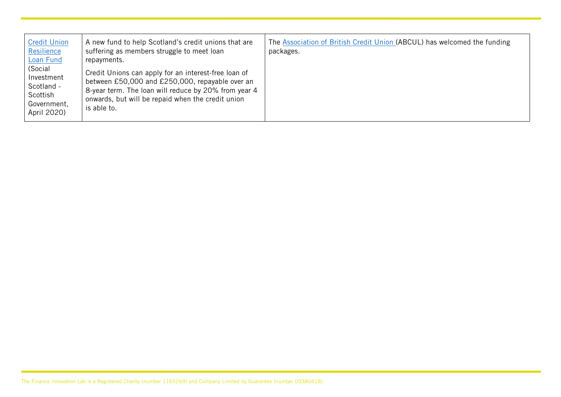| <b>Credit Union</b><br>Resilience<br>Loan Fund<br>(Social<br>Investment<br>Scotland -<br>Scottish<br>Government,<br>April 2020) | A new fund to help Scotland's credit unions that are<br>suffering as members struggle to meet loan<br>repayments.<br>Credit Unions can apply for an interest-free loan of<br>between £50,000 and £250,000, repayable over an<br>8-year term. The loan will reduce by 20% from year 4<br>onwards, but will be repaid when the credit union<br>is able to. | The Association of British Credit Union (ABCUL) has welcomed the funding<br>packages. |
|---------------------------------------------------------------------------------------------------------------------------------|----------------------------------------------------------------------------------------------------------------------------------------------------------------------------------------------------------------------------------------------------------------------------------------------------------------------------------------------------------|---------------------------------------------------------------------------------------|
|---------------------------------------------------------------------------------------------------------------------------------|----------------------------------------------------------------------------------------------------------------------------------------------------------------------------------------------------------------------------------------------------------------------------------------------------------------------------------------------------------|---------------------------------------------------------------------------------------|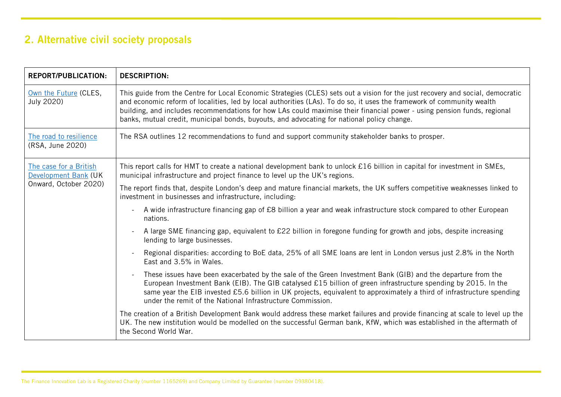## <span id="page-10-0"></span>2. Alternative civil society proposals

| <b>REPORT/PUBLICATION:</b>                     | <b>DESCRIPTION:</b>                                                                                                                                                                                                                                                                                                                                                                                                                                                               |
|------------------------------------------------|-----------------------------------------------------------------------------------------------------------------------------------------------------------------------------------------------------------------------------------------------------------------------------------------------------------------------------------------------------------------------------------------------------------------------------------------------------------------------------------|
| Own the Future (CLES,<br>July 2020)            | This guide from the Centre for Local Economic Strategies (CLES) sets out a vision for the just recovery and social, democratic<br>and economic reform of localities, led by local authorities (LAs). To do so, it uses the framework of community wealth<br>building, and includes recommendations for how LAs could maximise their financial power - using pension funds, regional<br>banks, mutual credit, municipal bonds, buyouts, and advocating for national policy change. |
| The road to resilience<br>(RSA, June 2020)     | The RSA outlines 12 recommendations to fund and support community stakeholder banks to prosper.                                                                                                                                                                                                                                                                                                                                                                                   |
| The case for a British<br>Development Bank (UK | This report calls for HMT to create a national development bank to unlock £16 billion in capital for investment in SMEs,<br>municipal infrastructure and project finance to level up the UK's regions.                                                                                                                                                                                                                                                                            |
| Onward, October 2020)                          | The report finds that, despite London's deep and mature financial markets, the UK suffers competitive weaknesses linked to<br>investment in businesses and infrastructure, including:                                                                                                                                                                                                                                                                                             |
|                                                | A wide infrastructure financing gap of £8 billion a year and weak infrastructure stock compared to other European<br>nations.                                                                                                                                                                                                                                                                                                                                                     |
|                                                | A large SME financing gap, equivalent to £22 billion in foregone funding for growth and jobs, despite increasing<br>lending to large businesses.                                                                                                                                                                                                                                                                                                                                  |
|                                                | Regional disparities: according to BoE data, 25% of all SME loans are lent in London versus just 2.8% in the North<br>East and 3.5% in Wales.                                                                                                                                                                                                                                                                                                                                     |
|                                                | These issues have been exacerbated by the sale of the Green Investment Bank (GIB) and the departure from the<br>European Investment Bank (EIB). The GIB catalysed £15 billion of green infrastructure spending by 2015. In the<br>same year the EIB invested £5.6 billion in UK projects, equivalent to approximately a third of infrastructure spending<br>under the remit of the National Infrastructure Commission.                                                            |
|                                                | The creation of a British Development Bank would address these market failures and provide financing at scale to level up the<br>UK. The new institution would be modelled on the successful German bank, KfW, which was established in the aftermath of<br>the Second World War.                                                                                                                                                                                                 |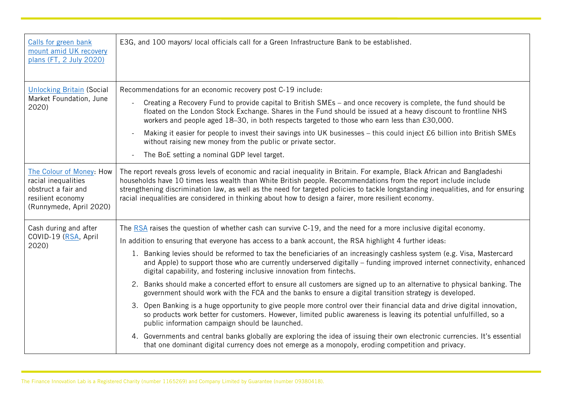| Calls for green bank<br>mount amid UK recovery<br>plans (FT, 2 July 2020)                                              | E3G, and 100 mayors/local officials call for a Green Infrastructure Bank to be established.                                                                                                                                                                                                                                                                                                                                                                                                                                                                                                                                                                                                                                                                                                                                                                                                                                                                                                                                                                                                                                                                                                                                                                                                                                                 |
|------------------------------------------------------------------------------------------------------------------------|---------------------------------------------------------------------------------------------------------------------------------------------------------------------------------------------------------------------------------------------------------------------------------------------------------------------------------------------------------------------------------------------------------------------------------------------------------------------------------------------------------------------------------------------------------------------------------------------------------------------------------------------------------------------------------------------------------------------------------------------------------------------------------------------------------------------------------------------------------------------------------------------------------------------------------------------------------------------------------------------------------------------------------------------------------------------------------------------------------------------------------------------------------------------------------------------------------------------------------------------------------------------------------------------------------------------------------------------|
| <b>Unlocking Britain (Social</b><br>Market Foundation, June<br>2020)                                                   | Recommendations for an economic recovery post C-19 include:<br>Creating a Recovery Fund to provide capital to British SMEs - and once recovery is complete, the fund should be<br>floated on the London Stock Exchange. Shares in the Fund should be issued at a heavy discount to frontline NHS<br>workers and people aged 18-30, in both respects targeted to those who earn less than £30,000.<br>Making it easier for people to invest their savings into UK businesses - this could inject £6 billion into British SMEs<br>without raising new money from the public or private sector.<br>The BoE setting a nominal GDP level target.                                                                                                                                                                                                                                                                                                                                                                                                                                                                                                                                                                                                                                                                                                 |
| The Colour of Money: How<br>racial inequalities<br>obstruct a fair and<br>resilient economy<br>(Runnymede, April 2020) | The report reveals gross levels of economic and racial inequality in Britain. For example, Black African and Bangladeshi<br>households have 10 times less wealth than White British people. Recommendations from the report include include<br>strengthening discrimination law, as well as the need for targeted policies to tackle longstanding inequalities, and for ensuring<br>racial inequalities are considered in thinking about how to design a fairer, more resilient economy.                                                                                                                                                                                                                                                                                                                                                                                                                                                                                                                                                                                                                                                                                                                                                                                                                                                    |
| Cash during and after<br>COVID-19 (RSA, April<br>2020)                                                                 | The RSA raises the question of whether cash can survive C-19, and the need for a more inclusive digital economy.<br>In addition to ensuring that everyone has access to a bank account, the RSA highlight 4 further ideas:<br>1. Banking levies should be reformed to tax the beneficiaries of an increasingly cashless system (e.g. Visa, Mastercard<br>and Apple) to support those who are currently underserved digitally – funding improved internet connectivity, enhanced<br>digital capability, and fostering inclusive innovation from fintechs.<br>2. Banks should make a concerted effort to ensure all customers are signed up to an alternative to physical banking. The<br>government should work with the FCA and the banks to ensure a digital transition strategy is developed.<br>3. Open Banking is a huge opportunity to give people more control over their financial data and drive digital innovation,<br>so products work better for customers. However, limited public awareness is leaving its potential unfulfilled, so a<br>public information campaign should be launched.<br>4. Governments and central banks globally are exploring the idea of issuing their own electronic currencies. It's essential<br>that one dominant digital currency does not emerge as a monopoly, eroding competition and privacy. |